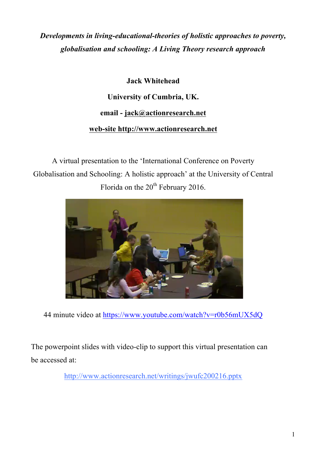# *Developments in living-educational-theories of holistic approaches to poverty, globalisation and schooling: A Living Theory research approach*

## **Jack Whitehead**

## **University of Cumbria, UK.**

### **email - jack@actionresearch.net**

## **web-site http://www.actionresearch.net**

A virtual presentation to the 'International Conference on Poverty Globalisation and Schooling: A holistic approach' at the University of Central Florida on the 20<sup>th</sup> February 2016.



44 minute video at https://www.youtube.com/watch?v=r0b56mUX5dQ

The powerpoint slides with video-clip to support this virtual presentation can be accessed at:

http://www.actionresearch.net/writings/jwufc200216.pptx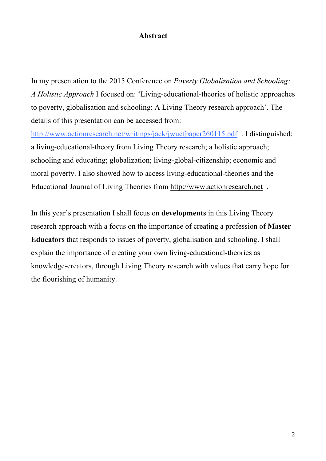#### **Abstract**

In my presentation to the 2015 Conference on *Poverty Globalization and Schooling: A Holistic Approach* I focused on: 'Living-educational-theories of holistic approaches to poverty, globalisation and schooling: A Living Theory research approach'. The details of this presentation can be accessed from:

http://www.actionresearch.net/writings/jack/jwucfpaper260115.pdf . I distinguished: a living-educational-theory from Living Theory research; a holistic approach; schooling and educating; globalization; living-global-citizenship; economic and moral poverty. I also showed how to access living-educational-theories and the Educational Journal of Living Theories from http://www.actionresearch.net .

In this year's presentation I shall focus on **developments** in this Living Theory research approach with a focus on the importance of creating a profession of **Master Educators** that responds to issues of poverty, globalisation and schooling. I shall explain the importance of creating your own living-educational-theories as knowledge-creators, through Living Theory research with values that carry hope for the flourishing of humanity.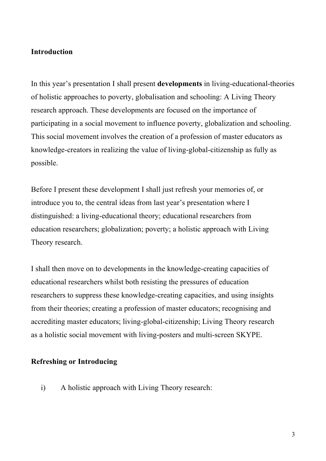#### **Introduction**

In this year's presentation I shall present **developments** in living-educational-theories of holistic approaches to poverty, globalisation and schooling: A Living Theory research approach. These developments are focused on the importance of participating in a social movement to influence poverty, globalization and schooling. This social movement involves the creation of a profession of master educators as knowledge-creators in realizing the value of living-global-citizenship as fully as possible.

Before I present these development I shall just refresh your memories of, or introduce you to, the central ideas from last year's presentation where I distinguished: a living-educational theory; educational researchers from education researchers; globalization; poverty; a holistic approach with Living Theory research.

I shall then move on to developments in the knowledge-creating capacities of educational researchers whilst both resisting the pressures of education researchers to suppress these knowledge-creating capacities, and using insights from their theories; creating a profession of master educators; recognising and accrediting master educators; living-global-citizenship; Living Theory research as a holistic social movement with living-posters and multi-screen SKYPE.

#### **Refreshing or Introducing**

i) A holistic approach with Living Theory research: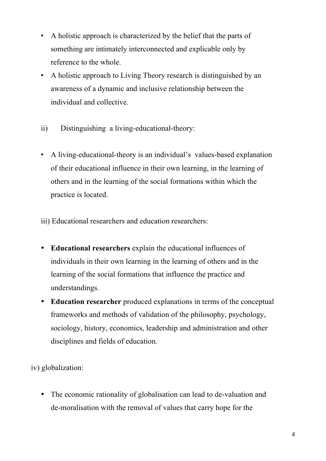- A holistic approach is characterized by the belief that the parts of something are intimately interconnected and explicable only by reference to the whole.
- A holistic approach to Living Theory research is distinguished by an awareness of a dynamic and inclusive relationship between the individual and collective.
- ii) Distinguishing a living-educational-theory:
- A living-educational-theory is an individual's values-based explanation of their educational influence in their own learning, in the learning of others and in the learning of the social formations within which the practice is located.

iii) Educational researchers and education researchers:

- **Educational researchers** explain the educational influences of individuals in their own learning in the learning of others and in the learning of the social formations that influence the practice and understandings.
- **Education researcher** produced explanations in terms of the conceptual frameworks and methods of validation of the philosophy, psychology, sociology, history, economics, leadership and administration and other disciplines and fields of education.

iv) globalization:

• The economic rationality of globalisation can lead to de-valuation and de-moralisation with the removal of values that carry hope for the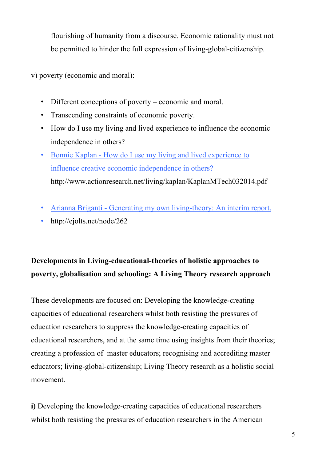flourishing of humanity from a discourse. Economic rationality must not be permitted to hinder the full expression of living-global-citizenship.

v) poverty (economic and moral):

- Different conceptions of poverty economic and moral.
- Transcending constraints of economic poverty.
- How do I use my living and lived experience to influence the economic independence in others?
- Bonnie Kaplan How do I use my living and lived experience to influence creative economic independence in others? http://www.actionresearch.net/living/kaplan/KaplanMTech032014.pdf
- Arianna Briganti Generating my own living-theory: An interim report.
- http://ejolts.net/node/262

# **Developments in Living-educational-theories of holistic approaches to poverty, globalisation and schooling: A Living Theory research approach**

These developments are focused on: Developing the knowledge-creating capacities of educational researchers whilst both resisting the pressures of education researchers to suppress the knowledge-creating capacities of educational researchers, and at the same time using insights from their theories; creating a profession of master educators; recognising and accrediting master educators; living-global-citizenship; Living Theory research as a holistic social movement.

**i)** Developing the knowledge-creating capacities of educational researchers whilst both resisting the pressures of education researchers in the American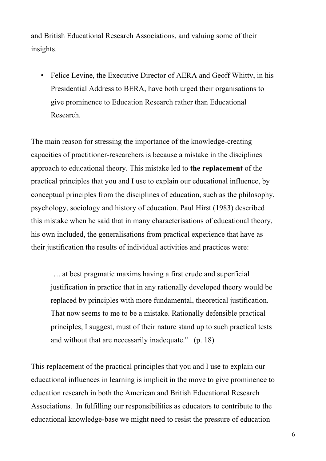and British Educational Research Associations, and valuing some of their insights.

• Felice Levine, the Executive Director of AERA and Geoff Whitty, in his Presidential Address to BERA, have both urged their organisations to give prominence to Education Research rather than Educational Research.

The main reason for stressing the importance of the knowledge-creating capacities of practitioner-researchers is because a mistake in the disciplines approach to educational theory. This mistake led to **the replacement** of the practical principles that you and I use to explain our educational influence, by conceptual principles from the disciplines of education, such as the philosophy, psychology, sociology and history of education. Paul Hirst (1983) described this mistake when he said that in many characterisations of educational theory, his own included, the generalisations from practical experience that have as their justification the results of individual activities and practices were:

…. at best pragmatic maxims having a first crude and superficial justification in practice that in any rationally developed theory would be replaced by principles with more fundamental, theoretical justification. That now seems to me to be a mistake. Rationally defensible practical principles, I suggest, must of their nature stand up to such practical tests and without that are necessarily inadequate." (p. 18)

This replacement of the practical principles that you and I use to explain our educational influences in learning is implicit in the move to give prominence to education research in both the American and British Educational Research Associations. In fulfilling our responsibilities as educators to contribute to the educational knowledge-base we might need to resist the pressure of education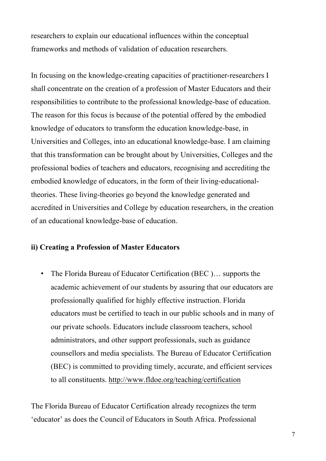researchers to explain our educational influences within the conceptual frameworks and methods of validation of education researchers.

In focusing on the knowledge-creating capacities of practitioner-researchers I shall concentrate on the creation of a profession of Master Educators and their responsibilities to contribute to the professional knowledge-base of education. The reason for this focus is because of the potential offered by the embodied knowledge of educators to transform the education knowledge-base, in Universities and Colleges, into an educational knowledge-base. I am claiming that this transformation can be brought about by Universities, Colleges and the professional bodies of teachers and educators, recognising and accrediting the embodied knowledge of educators, in the form of their living-educationaltheories. These living-theories go beyond the knowledge generated and accredited in Universities and College by education researchers, in the creation of an educational knowledge-base of education.

#### **ii) Creating a Profession of Master Educators**

• The Florida Bureau of Educator Certification (BEC )… supports the academic achievement of our students by assuring that our educators are professionally qualified for highly effective instruction. Florida educators must be certified to teach in our public schools and in many of our private schools. Educators include classroom teachers, school administrators, and other support professionals, such as guidance counsellors and media specialists. The Bureau of Educator Certification (BEC) is committed to providing timely, accurate, and efficient services to all constituents. http://www.fldoe.org/teaching/certification

The Florida Bureau of Educator Certification already recognizes the term 'educator' as does the Council of Educators in South Africa. Professional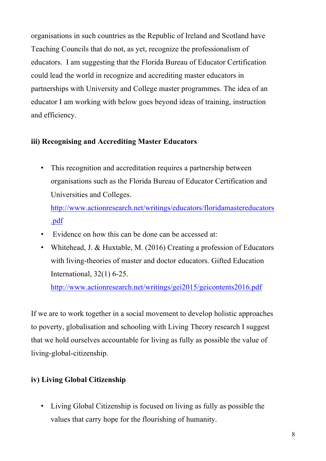organisations in such countries as the Republic of Ireland and Scotland have Teaching Councils that do not, as yet, recognize the professionalism of educators. I am suggesting that the Florida Bureau of Educator Certification could lead the world in recognize and accrediting master educators in partnerships with University and College master programmes. The idea of an educator I am working with below goes beyond ideas of training, instruction and efficiency.

## **iii) Recognising and Accrediting Master Educators**

• This recognition and accreditation requires a partnership between organisations such as the Florida Bureau of Educator Certification and Universities and Colleges.

http://www.actionresearch.net/writings/educators/floridamastereducators .pdf

- Evidence on how this can be done can be accessed at:
- Whitehead, J. & Huxtable, M. (2016) Creating a profession of Educators with living-theories of master and doctor educators. Gifted Education International, 32(1) 6-25.

http://www.actionresearch.net/writings/gei2015/geicontents2016.pdf

If we are to work together in a social movement to develop holistic approaches to poverty, globalisation and schooling with Living Theory research I suggest that we hold ourselves accountable for living as fully as possible the value of living-global-citizenship.

## **iv) Living Global Citizenship**

• Living Global Citizenship is focused on living as fully as possible the values that carry hope for the flourishing of humanity.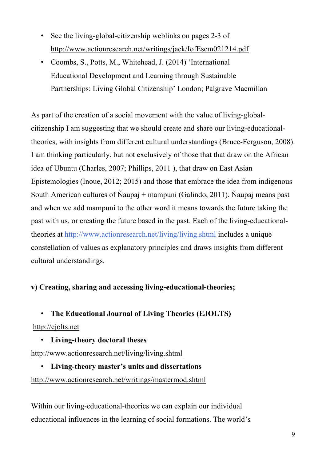- See the living-global-citizenship weblinks on pages 2-3 of http://www.actionresearch.net/writings/jack/IofEsem021214.pdf
- Coombs, S., Potts, M., Whitehead, J. (2014) 'International Educational Development and Learning through Sustainable Partnerships: Living Global Citizenship' London; Palgrave Macmillan

As part of the creation of a social movement with the value of living-globalcitizenship I am suggesting that we should create and share our living-educationaltheories, with insights from different cultural understandings (Bruce-Ferguson, 2008). I am thinking particularly, but not exclusively of those that that draw on the African idea of Ubuntu (Charles, 2007; Phillips, 2011 ), that draw on East Asian Epistemologies (Inoue, 2012; 2015) and those that embrace the idea from indigenous South American cultures of Ñaupaj + mampuni (Galindo, 2011). Ñaupaj means past and when we add mampuni to the other word it means towards the future taking the past with us, or creating the future based in the past. Each of the living-educationaltheories at http://www.actionresearch.net/living/living.shtml includes a unique constellation of values as explanatory principles and draws insights from different cultural understandings.

### **v) Creating, sharing and accessing living-educational-theories;**

• **The Educational Journal of Living Theories (EJOLTS)**

#### http://ejolts.net

• **Living-theory doctoral theses**

http://www.actionresearch.net/living/living.shtml

## • **Living-theory master's units and dissertations** http://www.actionresearch.net/writings/mastermod.shtml

Within our living-educational-theories we can explain our individual educational influences in the learning of social formations. The world's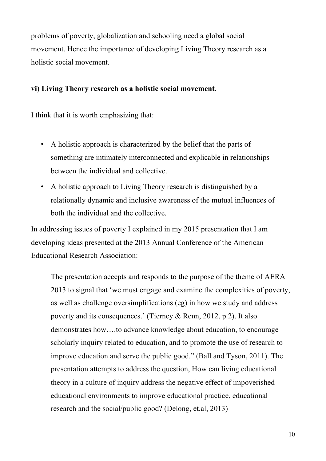problems of poverty, globalization and schooling need a global social movement. Hence the importance of developing Living Theory research as a holistic social movement.

### **vi) Living Theory research as a holistic social movement.**

I think that it is worth emphasizing that:

- A holistic approach is characterized by the belief that the parts of something are intimately interconnected and explicable in relationships between the individual and collective.
- A holistic approach to Living Theory research is distinguished by a relationally dynamic and inclusive awareness of the mutual influences of both the individual and the collective.

In addressing issues of poverty I explained in my 2015 presentation that I am developing ideas presented at the 2013 Annual Conference of the American Educational Research Association:

The presentation accepts and responds to the purpose of the theme of AERA 2013 to signal that 'we must engage and examine the complexities of poverty, as well as challenge oversimplifications (eg) in how we study and address poverty and its consequences.' (Tierney & Renn, 2012, p.2). It also demonstrates how….to advance knowledge about education, to encourage scholarly inquiry related to education, and to promote the use of research to improve education and serve the public good." (Ball and Tyson, 2011). The presentation attempts to address the question, How can living educational theory in a culture of inquiry address the negative effect of impoverished educational environments to improve educational practice, educational research and the social/public good? (Delong, et.al, 2013)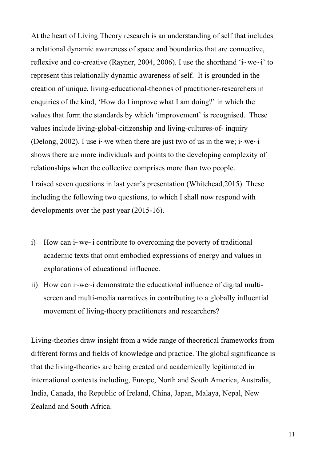At the heart of Living Theory research is an understanding of self that includes a relational dynamic awareness of space and boundaries that are connective, reflexive and co-creative (Rayner, 2004, 2006). I use the shorthand 'i~we~i' to represent this relationally dynamic awareness of self. It is grounded in the creation of unique, living-educational-theories of practitioner-researchers in enquiries of the kind, 'How do I improve what I am doing?' in which the values that form the standards by which 'improvement' is recognised. These values include living-global-citizenship and living-cultures-of- inquiry (Delong, 2002). I use i~we when there are just two of us in the we; i~we~i shows there are more individuals and points to the developing complexity of relationships when the collective comprises more than two people.

I raised seven questions in last year's presentation (Whitehead,2015). These including the following two questions, to which I shall now respond with developments over the past year (2015-16).

- i) How can i~we~i contribute to overcoming the poverty of traditional academic texts that omit embodied expressions of energy and values in explanations of educational influence.
- ii) How can i~we~i demonstrate the educational influence of digital multiscreen and multi-media narratives in contributing to a globally influential movement of living-theory practitioners and researchers?

Living-theories draw insight from a wide range of theoretical frameworks from different forms and fields of knowledge and practice. The global significance is that the living-theories are being created and academically legitimated in international contexts including, Europe, North and South America, Australia, India, Canada, the Republic of Ireland, China, Japan, Malaya, Nepal, New Zealand and South Africa.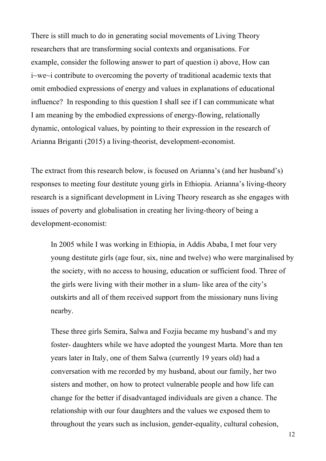There is still much to do in generating social movements of Living Theory researchers that are transforming social contexts and organisations. For example, consider the following answer to part of question i) above, How can i~we~i contribute to overcoming the poverty of traditional academic texts that omit embodied expressions of energy and values in explanations of educational influence? In responding to this question I shall see if I can communicate what I am meaning by the embodied expressions of energy-flowing, relationally dynamic, ontological values, by pointing to their expression in the research of Arianna Briganti (2015) a living-theorist, development-economist.

The extract from this research below, is focused on Arianna's (and her husband's) responses to meeting four destitute young girls in Ethiopia. Arianna's living-theory research is a significant development in Living Theory research as she engages with issues of poverty and globalisation in creating her living-theory of being a development-economist:

In 2005 while I was working in Ethiopia, in Addis Ababa, I met four very young destitute girls (age four, six, nine and twelve) who were marginalised by the society, with no access to housing, education or sufficient food. Three of the girls were living with their mother in a slum- like area of the city's outskirts and all of them received support from the missionary nuns living nearby.

These three girls Semira, Salwa and Fozjia became my husband's and my foster- daughters while we have adopted the youngest Marta. More than ten years later in Italy, one of them Salwa (currently 19 years old) had a conversation with me recorded by my husband, about our family, her two sisters and mother, on how to protect vulnerable people and how life can change for the better if disadvantaged individuals are given a chance. The relationship with our four daughters and the values we exposed them to throughout the years such as inclusion, gender-equality, cultural cohesion,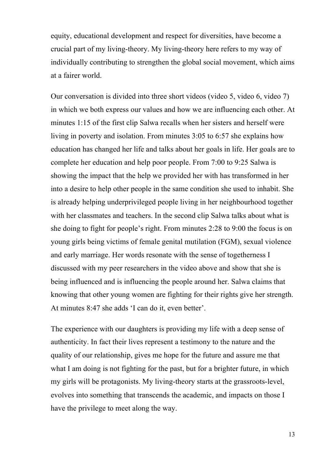equity, educational development and respect for diversities, have become a crucial part of my living-theory. My living-theory here refers to my way of individually contributing to strengthen the global social movement, which aims at a fairer world.

Our conversation is divided into three short videos (video 5, video 6, video 7) in which we both express our values and how we are influencing each other. At minutes 1:15 of the first clip Salwa recalls when her sisters and herself were living in poverty and isolation. From minutes 3:05 to 6:57 she explains how education has changed her life and talks about her goals in life. Her goals are to complete her education and help poor people. From 7:00 to 9:25 Salwa is showing the impact that the help we provided her with has transformed in her into a desire to help other people in the same condition she used to inhabit. She is already helping underprivileged people living in her neighbourhood together with her classmates and teachers. In the second clip Salwa talks about what is she doing to fight for people's right. From minutes 2:28 to 9:00 the focus is on young girls being victims of female genital mutilation (FGM), sexual violence and early marriage. Her words resonate with the sense of togetherness I discussed with my peer researchers in the video above and show that she is being influenced and is influencing the people around her. Salwa claims that knowing that other young women are fighting for their rights give her strength. At minutes 8:47 she adds 'I can do it, even better'.

The experience with our daughters is providing my life with a deep sense of authenticity. In fact their lives represent a testimony to the nature and the quality of our relationship, gives me hope for the future and assure me that what I am doing is not fighting for the past, but for a brighter future, in which my girls will be protagonists. My living-theory starts at the grassroots-level, evolves into something that transcends the academic, and impacts on those I have the privilege to meet along the way.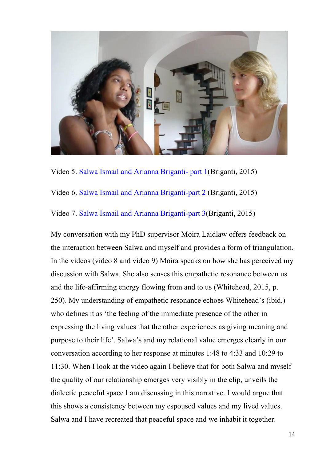

Video 5. Salwa Ismail and Arianna Briganti- part 1(Briganti, 2015)

Video 6. Salwa Ismail and Arianna Briganti-part 2 (Briganti, 2015)

Video 7. Salwa Ismail and Arianna Briganti-part 3(Briganti, 2015)

My conversation with my PhD supervisor Moira Laidlaw offers feedback on the interaction between Salwa and myself and provides a form of triangulation. In the videos (video 8 and video 9) Moira speaks on how she has perceived my discussion with Salwa. She also senses this empathetic resonance between us and the life-affirming energy flowing from and to us (Whitehead, 2015, p. 250). My understanding of empathetic resonance echoes Whitehead's (ibid.) who defines it as 'the feeling of the immediate presence of the other in expressing the living values that the other experiences as giving meaning and purpose to their life'. Salwa's and my relational value emerges clearly in our conversation according to her response at minutes 1:48 to 4:33 and 10:29 to 11:30. When I look at the video again I believe that for both Salwa and myself the quality of our relationship emerges very visibly in the clip, unveils the dialectic peaceful space I am discussing in this narrative. I would argue that this shows a consistency between my espoused values and my lived values. Salwa and I have recreated that peaceful space and we inhabit it together.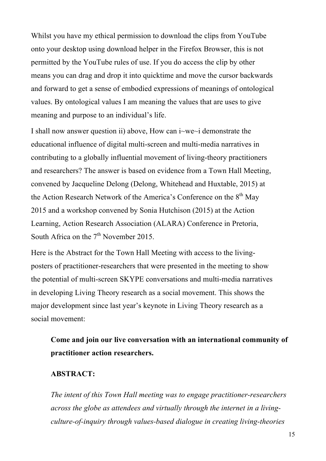Whilst you have my ethical permission to download the clips from YouTube onto your desktop using download helper in the Firefox Browser, this is not permitted by the YouTube rules of use. If you do access the clip by other means you can drag and drop it into quicktime and move the cursor backwards and forward to get a sense of embodied expressions of meanings of ontological values. By ontological values I am meaning the values that are uses to give meaning and purpose to an individual's life.

I shall now answer question ii) above, How can i~we~i demonstrate the educational influence of digital multi-screen and multi-media narratives in contributing to a globally influential movement of living-theory practitioners and researchers? The answer is based on evidence from a Town Hall Meeting, convened by Jacqueline Delong (Delong, Whitehead and Huxtable, 2015) at the Action Research Network of the America's Conference on the 8<sup>th</sup> May 2015 and a workshop convened by Sonia Hutchison (2015) at the Action Learning, Action Research Association (ALARA) Conference in Pretoria, South Africa on the  $7<sup>th</sup>$  November 2015.

Here is the Abstract for the Town Hall Meeting with access to the livingposters of practitioner-researchers that were presented in the meeting to show the potential of multi-screen SKYPE conversations and multi-media narratives in developing Living Theory research as a social movement. This shows the major development since last year's keynote in Living Theory research as a social movement:

**Come and join our live conversation with an international community of practitioner action researchers.** 

#### **ABSTRACT:**

*The intent of this Town Hall meeting was to engage practitioner-researchers across the globe as attendees and virtually through the internet in a livingculture-of-inquiry through values-based dialogue in creating living-theories*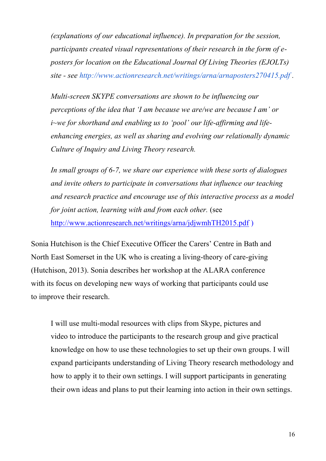*(explanations of our educational influence). In preparation for the session, participants created visual representations of their research in the form of eposters for location on the Educational Journal Of Living Theories (EJOLTs) site - see http://www.actionresearch.net/writings/arna/arnaposters270415.pdf .* 

*Multi-screen SKYPE conversations are shown to be influencing our perceptions of the idea that 'I am because we are/we are because I am' or i~we for shorthand and enabling us to 'pool' our life-affirming and lifeenhancing energies, as well as sharing and evolving our relationally dynamic Culture of Inquiry and Living Theory research.* 

*In small groups of 6-7, we share our experience with these sorts of dialogues and invite others to participate in conversations that influence our teaching and research practice and encourage use of this interactive process as a model for joint action, learning with and from each other.* (see http://www.actionresearch.net/writings/arna/jdjwmhTH2015.pdf )

Sonia Hutchison is the Chief Executive Officer the Carers' Centre in Bath and North East Somerset in the UK who is creating a living-theory of care-giving (Hutchison, 2013). Sonia describes her workshop at the ALARA conference with its focus on developing new ways of working that participants could use to improve their research.

I will use multi-modal resources with clips from Skype, pictures and video to introduce the participants to the research group and give practical knowledge on how to use these technologies to set up their own groups. I will expand participants understanding of Living Theory research methodology and how to apply it to their own settings. I will support participants in generating their own ideas and plans to put their learning into action in their own settings.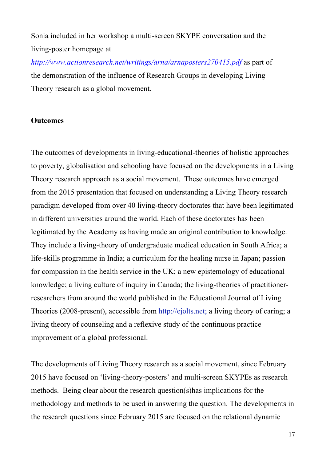Sonia included in her workshop a multi-screen SKYPE conversation and the living-poster homepage at

*http://www.actionresearch.net/writings/arna/arnaposters270415.pdf* as part of the demonstration of the influence of Research Groups in developing Living Theory research as a global movement.

#### **Outcomes**

The outcomes of developments in living-educational-theories of holistic approaches to poverty, globalisation and schooling have focused on the developments in a Living Theory research approach as a social movement. These outcomes have emerged from the 2015 presentation that focused on understanding a Living Theory research paradigm developed from over 40 living-theory doctorates that have been legitimated in different universities around the world. Each of these doctorates has been legitimated by the Academy as having made an original contribution to knowledge. They include a living-theory of undergraduate medical education in South Africa; a life-skills programme in India; a curriculum for the healing nurse in Japan; passion for compassion in the health service in the UK; a new epistemology of educational knowledge; a living culture of inquiry in Canada; the living-theories of practitionerresearchers from around the world published in the Educational Journal of Living Theories (2008-present), accessible from http://ejolts.net; a living theory of caring; a living theory of counseling and a reflexive study of the continuous practice improvement of a global professional.

The developments of Living Theory research as a social movement, since February 2015 have focused on 'living-theory-posters' and multi-screen SKYPEs as research methods. Being clear about the research question(s)has implications for the methodology and methods to be used in answering the question. The developments in the research questions since February 2015 are focused on the relational dynamic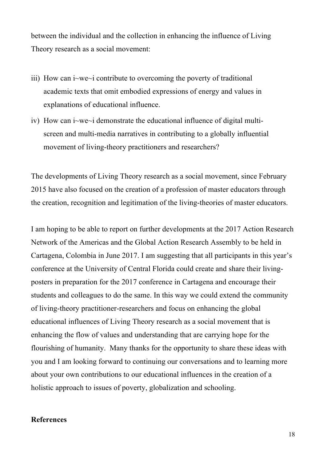between the individual and the collection in enhancing the influence of Living Theory research as a social movement:

- iii) How can i~we~i contribute to overcoming the poverty of traditional academic texts that omit embodied expressions of energy and values in explanations of educational influence.
- iv) How can i~we~i demonstrate the educational influence of digital multiscreen and multi-media narratives in contributing to a globally influential movement of living-theory practitioners and researchers?

The developments of Living Theory research as a social movement, since February 2015 have also focused on the creation of a profession of master educators through the creation, recognition and legitimation of the living-theories of master educators.

I am hoping to be able to report on further developments at the 2017 Action Research Network of the Americas and the Global Action Research Assembly to be held in Cartagena, Colombia in June 2017. I am suggesting that all participants in this year's conference at the University of Central Florida could create and share their livingposters in preparation for the 2017 conference in Cartagena and encourage their students and colleagues to do the same. In this way we could extend the community of living-theory practitioner-researchers and focus on enhancing the global educational influences of Living Theory research as a social movement that is enhancing the flow of values and understanding that are carrying hope for the flourishing of humanity. Many thanks for the opportunity to share these ideas with you and I am looking forward to continuing our conversations and to learning more about your own contributions to our educational influences in the creation of a holistic approach to issues of poverty, globalization and schooling.

#### **References**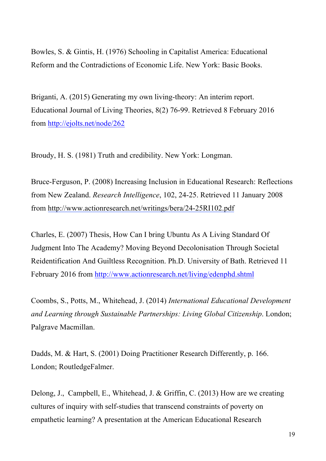Bowles, S. & Gintis, H. (1976) Schooling in Capitalist America: Educational Reform and the Contradictions of Economic Life. New York: Basic Books.

Briganti, A. (2015) Generating my own living-theory: An interim report. Educational Journal of Living Theories, 8(2) 76-99. Retrieved 8 February 2016 from http://ejolts.net/node/262

Broudy, H. S. (1981) Truth and credibility. New York: Longman.

Bruce-Ferguson, P. (2008) Increasing Inclusion in Educational Research: Reflections from New Zealand. *Research Intelligence*, 102, 24-25. Retrieved 11 January 2008 from http://www.actionresearch.net/writings/bera/24-25RI102.pdf

Charles, E. (2007) Thesis, How Can I bring Ubuntu As A Living Standard Of Judgment Into The Academy? Moving Beyond Decolonisation Through Societal Reidentification And Guiltless Recognition. Ph.D. University of Bath. Retrieved 11 February 2016 from http://www.actionresearch.net/living/edenphd.shtml

Coombs, S., Potts, M., Whitehead, J. (2014) *International Educational Development and Learning through Sustainable Partnerships: Living Global Citizenship*. London; Palgrave Macmillan.

Dadds, M. & Hart, S. (2001) Doing Practitioner Research Differently, p. 166. London; RoutledgeFalmer.

Delong, J., Campbell, E., Whitehead, J. & Griffin, C. (2013) How are we creating cultures of inquiry with self-studies that transcend constraints of poverty on empathetic learning? A presentation at the American Educational Research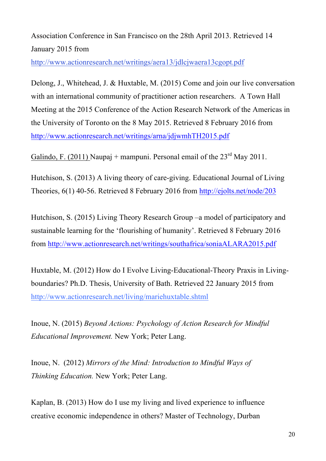Association Conference in San Francisco on the 28th April 2013. Retrieved 14 January 2015 from

http://www.actionresearch.net/writings/aera13/jdlcjwaera13cgopt.pdf

Delong, J., Whitehead, J. & Huxtable, M. (2015) Come and join our live conversation with an international community of practitioner action researchers. A Town Hall Meeting at the 2015 Conference of the Action Research Network of the Americas in the University of Toronto on the 8 May 2015. Retrieved 8 February 2016 from http://www.actionresearch.net/writings/arna/jdjwmhTH2015.pdf

Galindo, F. (2011) Naupaj + mampuni. Personal email of the  $23<sup>rd</sup>$  May 2011.

Hutchison, S. (2013) A living theory of care-giving. Educational Journal of Living Theories, 6(1) 40-56. Retrieved 8 February 2016 from http://ejolts.net/node/203

Hutchison, S. (2015) Living Theory Research Group –a model of participatory and sustainable learning for the 'flourishing of humanity'. Retrieved 8 February 2016 from http://www.actionresearch.net/writings/southafrica/soniaALARA2015.pdf

Huxtable, M. (2012) How do I Evolve Living-Educational-Theory Praxis in Livingboundaries? Ph.D. Thesis, University of Bath. Retrieved 22 January 2015 from http://www.actionresearch.net/living/mariehuxtable.shtml

Inoue, N. (2015) *Beyond Actions: Psychology of Action Research for Mindful Educational Improvement.* New York; Peter Lang.

Inoue, N. (2012) *Mirrors of the Mind: Introduction to Mindful Ways of Thinking Education.* New York; Peter Lang.

Kaplan, B. (2013) How do I use my living and lived experience to influence creative economic independence in others? Master of Technology, Durban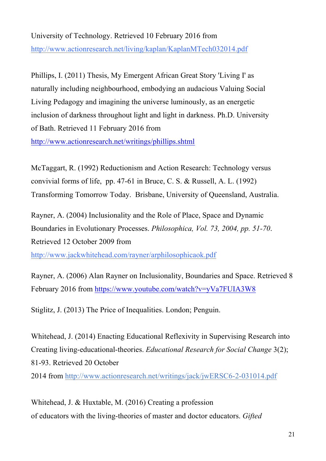## University of Technology. Retrieved 10 February 2016 from

http://www.actionresearch.net/living/kaplan/KaplanMTech032014.pdf

Phillips, I. (2011) Thesis, My Emergent African Great Story 'Living I' as naturally including neighbourhood, embodying an audacious Valuing Social Living Pedagogy and imagining the universe luminously, as an energetic inclusion of darkness throughout light and light in darkness. Ph.D. University of Bath. Retrieved 11 February 2016 from

http://www.actionresearch.net/writings/phillips.shtml

McTaggart, R. (1992) Reductionism and Action Research: Technology versus convivial forms of life, pp. 47-61 in Bruce, C. S. & Russell, A. L. (1992) Transforming Tomorrow Today. Brisbane, University of Queensland, Australia.

Rayner, A. (2004) Inclusionality and the Role of Place, Space and Dynamic Boundaries in Evolutionary Processes. *Philosophica, Vol. 73, 2004, pp. 51-70*. Retrieved 12 October 2009 from

http://www.jackwhitehead.com/rayner/arphilosophicaok.pdf

Rayner, A. (2006) Alan Rayner on Inclusionality, Boundaries and Space. Retrieved 8 February 2016 from https://www.youtube.com/watch?v=yVa7FUIA3W8

Stiglitz, J. (2013) The Price of Inequalities. London; Penguin.

Whitehead, J. (2014) Enacting Educational Reflexivity in Supervising Research into Creating living-educational-theories. *Educational Research for Social Change* 3(2); 81-93. Retrieved 20 October

2014 from http://www.actionresearch.net/writings/jack/jwERSC6-2-031014.pdf

Whitehead, J. & Huxtable, M. (2016) Creating a profession of educators with the living-theories of master and doctor educators. *Gifted*